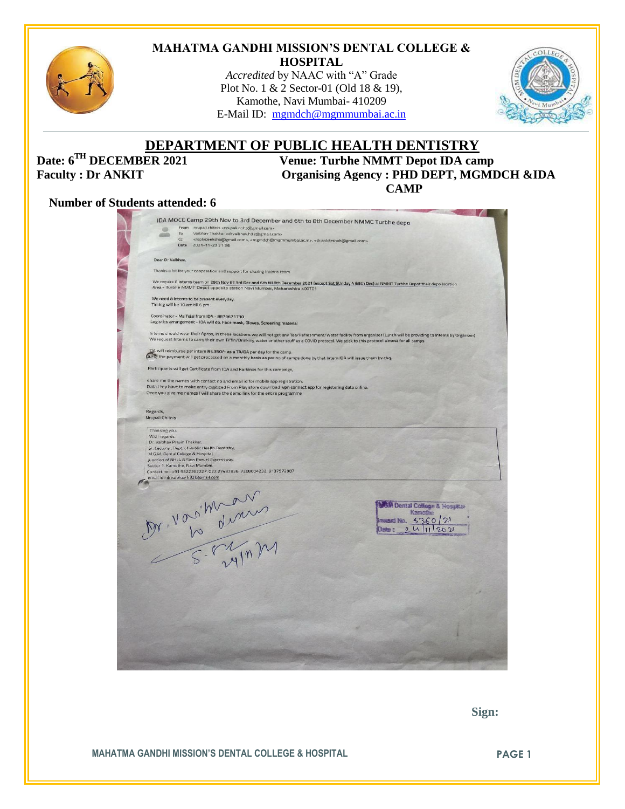

#### **MAHATMA GANDHI MISSION'S DENTAL COLLEGE & HOSPITAL**

*Accredited* by NAAC with "A" Grade Plot No. 1 & 2 Sector-01 (Old 18 & 19), Kamothe, Navi Mumbai- 410209 E-Mail ID: [mgmdch@mgmmumbai.ac.in](mailto:mgmdch@mgmmumbai.ac.in)



### **DEPARTMENT OF PUBLIC HEALTH DENTISTRY**

# Date: 6<sup>TH</sup> DECEMBER 2021<br>Faculty : Dr ANKIT

**Venue: Turbhe NMMT Depot IDA camp Organising Agency : PHD DEPT, MGMDCH &IDA CAMP**

#### **Number of Students attended: 6**

|                                   |      | IDA MOCC Camp 29th Nov to 3rd December and 6th to 8th December NMMC Turbhe depo                                                                                                                                                        |                                        |
|-----------------------------------|------|----------------------------------------------------------------------------------------------------------------------------------------------------------------------------------------------------------------------------------------|----------------------------------------|
| GB <sub>1</sub>                   | To   | From nrupali chitnis <nrupali.nohp@gmail.com></nrupali.nohp@gmail.com>                                                                                                                                                                 |                                        |
| <b>GRADE</b>                      | Cc   | Vaibhav Thakkar <drvaibhav.h32@gmail.com></drvaibhav.h32@gmail.com>                                                                                                                                                                    |                                        |
|                                   | Date | <replydeeksha@gmail.com>, <mgmdch@mgmmumbai.ac.in>, <dr.ankitrshah@gmail.com><br/>2021-11-23 21:36</dr.ankitrshah@gmail.com></mgmdch@mgmmumbai.ac.in></replydeeksha@gmail.com>                                                         |                                        |
|                                   |      |                                                                                                                                                                                                                                        |                                        |
| Dear Dr Vaibhav,                  |      |                                                                                                                                                                                                                                        |                                        |
|                                   |      | Thanks a lot for your cooperation and support for sharing Interns team                                                                                                                                                                 |                                        |
|                                   |      | We require 8 interns team on 29th Nov till 3rd Dec and 6th till 8th December 2021 (except Sat SUnday 4 85th Dec) at NMMT Turbhe Depot their depo location<br>Area - Turbhe NMMT Depot opposite station Navi Mumbai, Maharashtra 400701 |                                        |
| Timing will be 10 am till 6 pm    |      | We need 8 interns to be present everyday.                                                                                                                                                                                              |                                        |
|                                   |      | Coordinator - Ms Tejal from IDA - 8879671710<br>Logistics arrangement - IDA will do, Face mask, Gloves, Screening material                                                                                                             |                                        |
|                                   |      | Interns should wear their Apron, In these locations we will not get any Tea/Refreshment/Water facility from organizer (Lunch will be providing to Interns by Organizer)                                                                |                                        |
|                                   |      | We request Interns to carry their own Tiffin/Drinking water or other stuff as a COVID protocol. We stick to this protocol almost for all camps.                                                                                        |                                        |
|                                   |      | IDA will reimburse per intern Rs.350/- as a TA/DA per day for the camp.<br>(a,Fo) the payment will get processed on a monthly basis as per no of camps done by that Intern IDA will issue them by chq.                                 |                                        |
|                                   |      | Participants will get Certificate from IDA and Karkinos for this campaign,                                                                                                                                                             |                                        |
|                                   |      |                                                                                                                                                                                                                                        |                                        |
|                                   |      | share me the names with contact no and email id for mobile app registration.<br>Data they have to make entry digitized From Play store download vpn connect app for registering data online.                                           |                                        |
|                                   |      | Once you give me names I will share the demo link for the entire programme                                                                                                                                                             |                                        |
|                                   |      |                                                                                                                                                                                                                                        |                                        |
| Regards,<br>Nrupali Chitnis       |      |                                                                                                                                                                                                                                        |                                        |
| Thanking you.                     |      |                                                                                                                                                                                                                                        |                                        |
|                                   |      |                                                                                                                                                                                                                                        |                                        |
| With regards.                     |      |                                                                                                                                                                                                                                        |                                        |
| Dr. Vaibhav Pravin Thakkar,       |      |                                                                                                                                                                                                                                        |                                        |
|                                   |      | Sr. Lecturer, Dept. of Public Health Dentistry,                                                                                                                                                                                        |                                        |
| M.G.M. Dental College & Hospital, |      |                                                                                                                                                                                                                                        |                                        |
|                                   |      | Junction of NH-4 & Sion Panvel Expressway,                                                                                                                                                                                             |                                        |
| Sector 1, Kamothe, Navi Mumbai.   |      | Contact no: +91 9322262227, 022 27437836, 7208004232, 9137572987                                                                                                                                                                       |                                        |
|                                   |      | email id : drvaibhav.h32@gmail.com                                                                                                                                                                                                     |                                        |
|                                   |      |                                                                                                                                                                                                                                        |                                        |
|                                   |      |                                                                                                                                                                                                                                        |                                        |
|                                   |      |                                                                                                                                                                                                                                        | <b>5M Dental Coffege &amp; Hosphan</b> |
|                                   |      |                                                                                                                                                                                                                                        | Karacthe                               |
|                                   |      |                                                                                                                                                                                                                                        | $m$ uard No. $5360/21$                 |
|                                   |      |                                                                                                                                                                                                                                        | 4/11/2021                              |
|                                   |      |                                                                                                                                                                                                                                        |                                        |
|                                   |      |                                                                                                                                                                                                                                        |                                        |
|                                   |      |                                                                                                                                                                                                                                        |                                        |
|                                   |      |                                                                                                                                                                                                                                        |                                        |
|                                   |      |                                                                                                                                                                                                                                        |                                        |
|                                   |      |                                                                                                                                                                                                                                        |                                        |
|                                   |      | M. Vosimban                                                                                                                                                                                                                            |                                        |
|                                   |      |                                                                                                                                                                                                                                        |                                        |
|                                   |      |                                                                                                                                                                                                                                        |                                        |
|                                   |      |                                                                                                                                                                                                                                        |                                        |
|                                   |      |                                                                                                                                                                                                                                        |                                        |
|                                   |      |                                                                                                                                                                                                                                        |                                        |
|                                   |      |                                                                                                                                                                                                                                        |                                        |
|                                   |      |                                                                                                                                                                                                                                        |                                        |

 **Sign:**

**MAHATMA GANDHI MISSION'S DENTAL COLLEGE & HOSPITAL PAGE 1**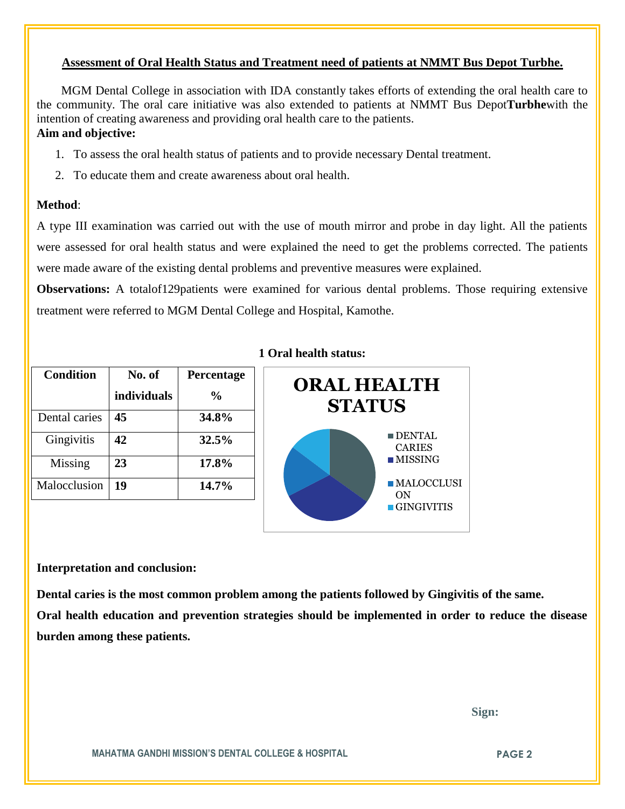#### **Assessment of Oral Health Status and Treatment need of patients at NMMT Bus Depot Turbhe.**

 MGM Dental College in association with IDA constantly takes efforts of extending the oral health care to the community. The oral care initiative was also extended to patients at NMMT Bus Depot**Turbhe**with the intention of creating awareness and providing oral health care to the patients. **Aim and objective:** 

- 1. To assess the oral health status of patients and to provide necessary Dental treatment.
- 2. To educate them and create awareness about oral health.

#### **Method**:

A type III examination was carried out with the use of mouth mirror and probe in day light. All the patients were assessed for oral health status and were explained the need to get the problems corrected. The patients were made aware of the existing dental problems and preventive measures were explained.

**Observations:** A totalof129patients were examined for various dental problems. Those requiring extensive treatment were referred to MGM Dental College and Hospital, Kamothe.

| <b>Condition</b> | No. of      | <b>Percentage</b> |
|------------------|-------------|-------------------|
|                  | individuals | $\%$              |
| Dental caries    | 45          | 34.8%             |
| Gingivitis       | 42          | $32.5\%$          |
| Missing          | 23          | 17.8%             |
| Malocclusion     | 19          | 14.7%             |

#### **1 Oral health status:**



#### **Interpretation and conclusion:**

**Dental caries is the most common problem among the patients followed by Gingivitis of the same. Oral health education and prevention strategies should be implemented in order to reduce the disease burden among these patients.**

 **Sign:**

**MAHATMA GANDHI MISSION'S DENTAL COLLEGE & HOSPITAL PAGE 2**